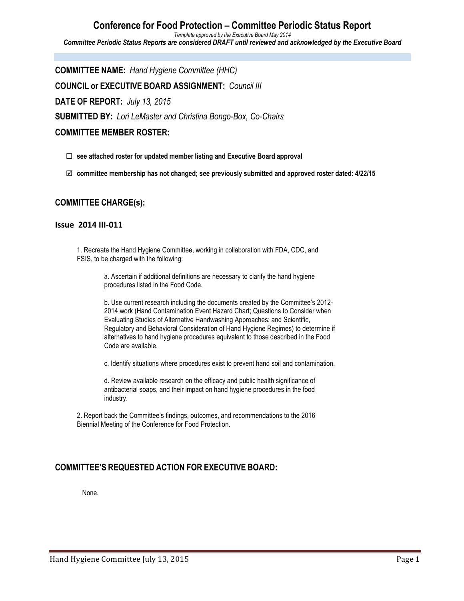#### **Conference for Food Protection – Committee Periodic Status Report** *Template approved by the Executive Board May 2014 Committee Periodic Status Reports are considered DRAFT until reviewed and acknowledged by the Executive Board*

**COMMITTEE NAME:** *Hand Hygiene Committee (HHC)* **COUNCIL or EXECUTIVE BOARD ASSIGNMENT:** *Council III* **DATE OF REPORT:** *July 13, 2015* **SUBMITTED BY:** *Lori LeMaster and Christina Bongo-Box, Co-Chairs* **COMMITTEE MEMBER ROSTER:**

¨ **see attached roster for updated member listing and Executive Board approval**

þ **committee membership has not changed; see previously submitted and approved roster dated: 4/22/15**

## **COMMITTEE CHARGE(s):**

### **Issue 2014 III-011**

1. Recreate the Hand Hygiene Committee, working in collaboration with FDA, CDC, and FSIS, to be charged with the following:

> a. Ascertain if additional definitions are necessary to clarify the hand hygiene procedures listed in the Food Code.

b. Use current research including the documents created by the Committee's 2012- 2014 work (Hand Contamination Event Hazard Chart; Questions to Consider when Evaluating Studies of Alternative Handwashing Approaches; and Scientific, Regulatory and Behavioral Consideration of Hand Hygiene Regimes) to determine if alternatives to hand hygiene procedures equivalent to those described in the Food Code are available.

c. Identify situations where procedures exist to prevent hand soil and contamination.

d. Review available research on the efficacy and public health significance of antibacterial soaps, and their impact on hand hygiene procedures in the food industry.

2. Report back the Committee's findings, outcomes, and recommendations to the 2016 Biennial Meeting of the Conference for Food Protection.

## **COMMITTEE'S REQUESTED ACTION FOR EXECUTIVE BOARD:**

None.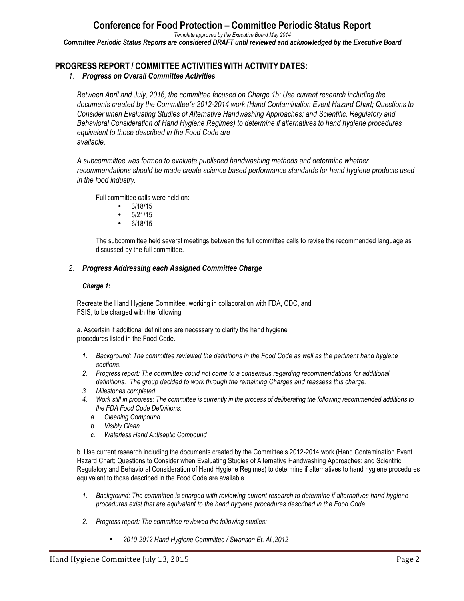# **Conference for Food Protection – Committee Periodic Status Report**

*Template approved by the Executive Board May 2014*

*Committee Periodic Status Reports are considered DRAFT until reviewed and acknowledged by the Executive Board*

## **PROGRESS REPORT / COMMITTEE ACTIVITIES WITH ACTIVITY DATES:**

### *1. Progress on Overall Committee Activities*

*Between April and July, 2016, the committee focused on Charge 1b: Use current research including the documents created by the Committee's 2012-2014 work (Hand Contamination Event Hazard Chart; Questions to Consider when Evaluating Studies of Alternative Handwashing Approaches; and Scientific, Regulatory and Behavioral Consideration of Hand Hygiene Regimes) to determine if alternatives to hand hygiene procedures equivalent to those described in the Food Code are available.*

*A subcommittee was formed to evaluate published handwashing methods and determine whether recommendations should be made create science based performance standards for hand hygiene products used in the food industry.* 

Full committee calls were held on:

- $3/18/15$ <br>•  $5/21/15$
- 5/21/15
- 6/18/15

The subcommittee held several meetings between the full committee calls to revise the recommended language as discussed by the full committee.

#### *2. Progress Addressing each Assigned Committee Charge*

#### *Charge 1:*

Recreate the Hand Hygiene Committee, working in collaboration with FDA, CDC, and FSIS, to be charged with the following:

a. Ascertain if additional definitions are necessary to clarify the hand hygiene procedures listed in the Food Code.

- *1. Background: The committee reviewed the definitions in the Food Code as well as the pertinent hand hygiene sections.*
- *2. Progress report: The committee could not come to a consensus regarding recommendations for additional definitions. The group decided to work through the remaining Charges and reassess this charge.*
- *3. Milestones completed*
- *4. Work still in progress: The committee is currently in the process of deliberating the following recommended additions to the FDA Food Code Definitions:*
	- *a. Cleaning Compound*
	- *b. Visibly Clean*
	- *c. Waterless Hand Antiseptic Compound*

b. Use current research including the documents created by the Committee's 2012-2014 work (Hand Contamination Event Hazard Chart; Questions to Consider when Evaluating Studies of Alternative Handwashing Approaches; and Scientific, Regulatory and Behavioral Consideration of Hand Hygiene Regimes) to determine if alternatives to hand hygiene procedures equivalent to those described in the Food Code are available.

- *1. Background: The committee is charged with reviewing current research to determine if alternatives hand hygiene procedures exist that are equivalent to the hand hygiene procedures described in the Food Code.*
- *2. Progress report: The committee reviewed the following studies:*
	- *2010-2012 Hand Hygiene Committee / Swanson Et. Al.,2012*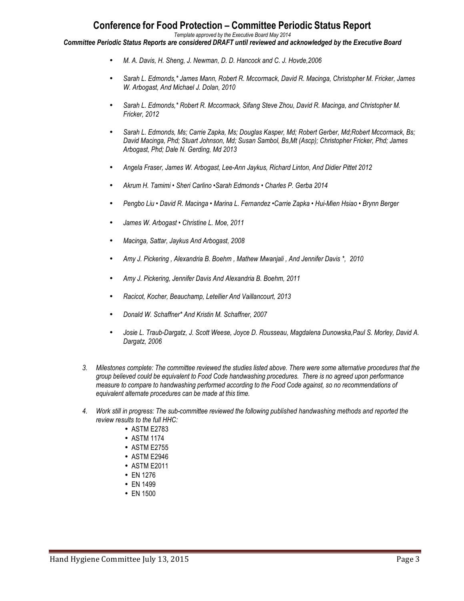## **Conference for Food Protection – Committee Periodic Status Report**

*Template approved by the Executive Board May 2014*

*Committee Periodic Status Reports are considered DRAFT until reviewed and acknowledged by the Executive Board*

- *M. A. Davis, H. Sheng, J. Newman, D. D. Hancock and C. J. Hovde,2006*
- *Sarah L. Edmonds,\* James Mann, Robert R. Mccormack, David R. Macinga, Christopher M. Fricker, James W. Arbogast, And Michael J. Dolan, 2010*
- *Sarah L. Edmonds,\* Robert R. Mccormack, Sifang Steve Zhou, David R. Macinga, and Christopher M. Fricker, 2012*
- *Sarah L. Edmonds, Ms; Carrie Zapka, Ms; Douglas Kasper, Md; Robert Gerber, Md;Robert Mccormack, Bs; David Macinga, Phd; Stuart Johnson, Md; Susan Sambol, Bs,Mt (Ascp); Christopher Fricker, Phd; James Arbogast, Phd; Dale N. Gerding, Md 2013*
- *Angela Fraser, James W. Arbogast, Lee-Ann Jaykus, Richard Linton, And Didier Pittet 2012*
- *Akrum H. Tamimi Sheri Carlino •Sarah Edmonds Charles P. Gerba 2014*
- *Pengbo Liu David R. Macinga Marina L. Fernandez •Carrie Zapka Hui-Mien Hsiao Brynn Berger*
- *James W. Arbogast Christine L. Moe, 2011*
- *Macinga, Sattar, Jaykus And Arbogast, 2008*
- *Amy J. Pickering , Alexandria B. Boehm , Mathew Mwanjali , And Jennifer Davis \*, 2010*
- *Amy J. Pickering, Jennifer Davis And Alexandria B. Boehm, 2011*
- *Racicot, Kocher, Beauchamp, Letellier And Vaillancourt, 2013*
- *Donald W. Schaffner\* And Kristin M. Schaffner, 2007*
- *Josie L. Traub-Dargatz, J. Scott Weese, Joyce D. Rousseau, Magdalena Dunowska,Paul S. Morley, David A. Dargatz, 2006*
- *3. Milestones complete: The committee reviewed the studies listed above. There were some alternative procedures that the group believed could be equivalent to Food Code handwashing procedures. There is no agreed upon performance measure to compare to handwashing performed according to the Food Code against, so no recommendations of equivalent alternate procedures can be made at this time.*
- *4. Work still in progress: The sub-committee reviewed the following published handwashing methods and reported the review results to the full HHC:*
	- ASTM E2783
	- ASTM 1174
	- ASTM E2755
	- ASTM E2946
	- ASTM E2011
	- EN 1276
	- EN 1499
	- EN 1500